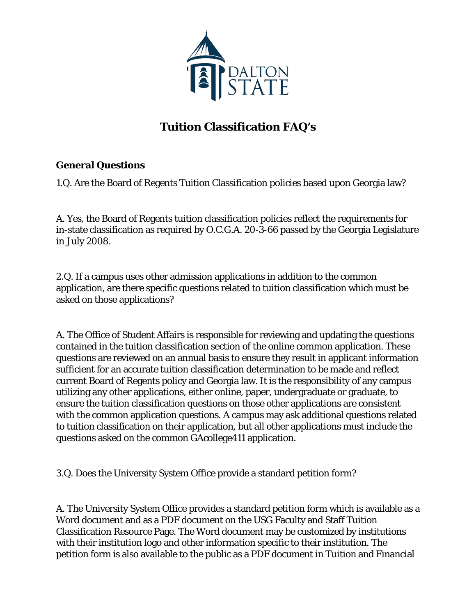

## **Tuition Classification FAQ's**

## **General Questions**

1.Q. Are the Board of Regents Tuition Classification policies based upon Georgia law?

A. Yes, the Board of Regents tuition classification policies reflect the requirements for in-state classification as required by O.C.G.A. 20-3-66 passed by the Georgia Legislature in July 2008.

2.Q. If a campus uses other admission applications in addition to the common application, are there specific questions related to tuition classification which must be asked on those applications?

A. The Office of Student Affairs is responsible for reviewing and updating the questions contained in the tuition classification section of the online common application. These questions are reviewed on an annual basis to ensure they result in applicant information sufficient for an accurate tuition classification determination to be made and reflect current Board of Regents policy and Georgia law. It is the responsibility of any campus utilizing any other applications, either online, paper, undergraduate or graduate, to ensure the tuition classification questions on those other applications are consistent with the common application questions. A campus may ask additional questions related to tuition classification on their application, but all other applications must include the questions asked on the common GAcollege411 application.

3.Q. Does the University System Office provide a standard petition form?

A. The University System Office provides a standard petition form which is available as a Word document and as a PDF document on the USG Faculty and Staff Tuition Classification Resource Page. The Word document may be customized by institutions with their institution logo and other information specific to their institution. The petition form is also available to the public as a PDF document in Tuition and Financial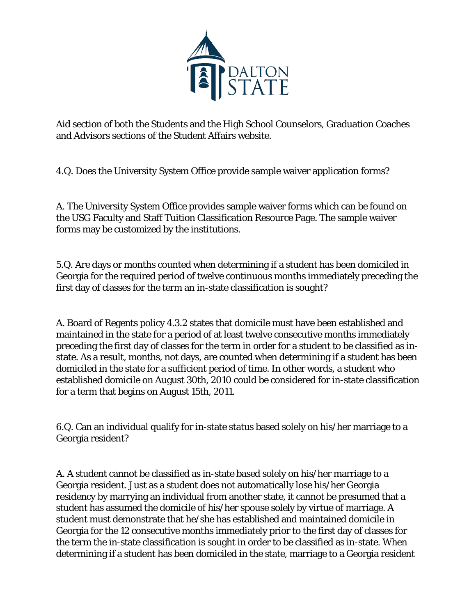

Aid section of both the Students and the High School Counselors, Graduation Coaches and Advisors sections of the Student Affairs website.

4.Q. Does the University System Office provide sample waiver application forms?

A. The University System Office provides sample waiver forms which can be found on the USG Faculty and Staff Tuition Classification Resource Page. The sample waiver forms may be customized by the institutions.

5.Q. Are days or months counted when determining if a student has been domiciled in Georgia for the required period of twelve continuous months immediately preceding the first day of classes for the term an in-state classification is sought?

A. Board of Regents policy 4.3.2 states that domicile must have been established and maintained in the state for a period of at least twelve consecutive months immediately preceding the first day of classes for the term in order for a student to be classified as instate. As a result, months, not days, are counted when determining if a student has been domiciled in the state for a sufficient period of time. In other words, a student who established domicile on August 30th, 2010 could be considered for in-state classification for a term that begins on August 15th, 2011.

6.Q. Can an individual qualify for in-state status based solely on his/her marriage to a Georgia resident?

A. A student cannot be classified as in-state based solely on his/her marriage to a Georgia resident. Just as a student does not automatically lose his/her Georgia residency by marrying an individual from another state, it cannot be presumed that a student has assumed the domicile of his/her spouse solely by virtue of marriage. A student must demonstrate that he/she has established and maintained domicile in Georgia for the 12 consecutive months immediately prior to the first day of classes for the term the in-state classification is sought in order to be classified as in-state. When determining if a student has been domiciled in the state, marriage to a Georgia resident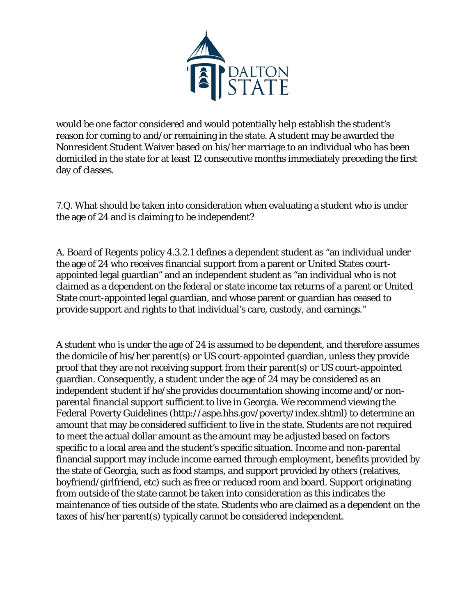

would be one factor considered and would potentially help establish the student's reason for coming to and/or remaining in the state. A student may be awarded the Nonresident Student Waiver based on his/her marriage to an individual who has been domiciled in the state for at least 12 consecutive months immediately preceding the first day of classes.

7.Q. What should be taken into consideration when evaluating a student who is under the age of 24 and is claiming to be independent?

A. Board of Regents policy 4.3.2.1 defines a dependent student as "an individual under the age of 24 who receives financial support from a parent or United States courtappointed legal guardian" and an independent student as "an individual who is not claimed as a dependent on the federal or state income tax returns of a parent or United State court-appointed legal guardian, and whose parent or guardian has ceased to provide support and rights to that individual's care, custody, and earnings."

A student who is under the age of 24 is assumed to be dependent, and therefore assumes the domicile of his/her parent(s) or US court-appointed guardian, unless they provide proof that they are not receiving support from their parent(s) or US court-appointed guardian. Consequently, a student under the age of 24 may be considered as an independent student if he/she provides documentation showing income and/or nonparental financial support sufficient to live in Georgia. We recommend viewing the Federal Poverty Guidelines (http://aspe.hhs.gov/poverty/index.shtml) to determine an amount that may be considered sufficient to live in the state. Students are not required to meet the actual dollar amount as the amount may be adjusted based on factors specific to a local area and the student's specific situation. Income and non-parental financial support may include income earned through employment, benefits provided by the state of Georgia, such as food stamps, and support provided by others (relatives, boyfriend/girlfriend, etc) such as free or reduced room and board. Support originating from outside of the state cannot be taken into consideration as this indicates the maintenance of ties outside of the state. Students who are claimed as a dependent on the taxes of his/her parent(s) typically cannot be considered independent.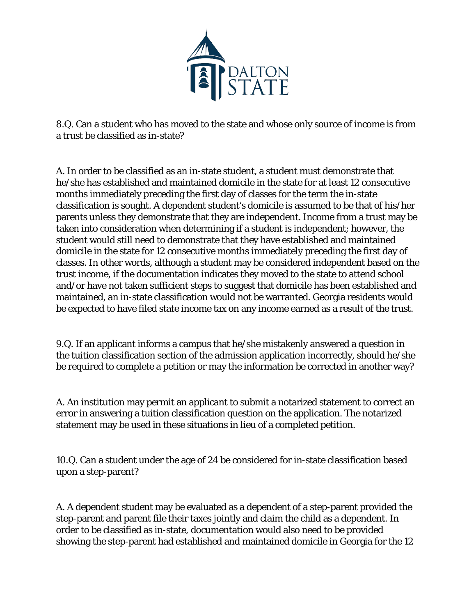

8.Q. Can a student who has moved to the state and whose only source of income is from a trust be classified as in-state?

A. In order to be classified as an in-state student, a student must demonstrate that he/she has established and maintained domicile in the state for at least 12 consecutive months immediately preceding the first day of classes for the term the in-state classification is sought. A dependent student's domicile is assumed to be that of his/her parents unless they demonstrate that they are independent. Income from a trust may be taken into consideration when determining if a student is independent; however, the student would still need to demonstrate that they have established and maintained domicile in the state for 12 consecutive months immediately preceding the first day of classes. In other words, although a student may be considered independent based on the trust income, if the documentation indicates they moved to the state to attend school and/or have not taken sufficient steps to suggest that domicile has been established and maintained, an in-state classification would not be warranted. Georgia residents would be expected to have filed state income tax on any income earned as a result of the trust.

9.Q. If an applicant informs a campus that he/she mistakenly answered a question in the tuition classification section of the admission application incorrectly, should he/she be required to complete a petition or may the information be corrected in another way?

A. An institution may permit an applicant to submit a notarized statement to correct an error in answering a tuition classification question on the application. The notarized statement may be used in these situations in lieu of a completed petition.

10.Q. Can a student under the age of 24 be considered for in-state classification based upon a step-parent?

A. A dependent student may be evaluated as a dependent of a step-parent provided the step-parent and parent file their taxes jointly and claim the child as a dependent. In order to be classified as in-state, documentation would also need to be provided showing the step-parent had established and maintained domicile in Georgia for the 12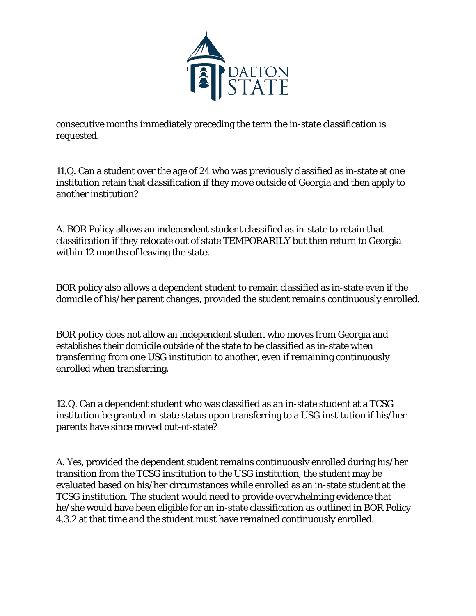

consecutive months immediately preceding the term the in-state classification is requested.

11.Q. Can a student over the age of 24 who was previously classified as in-state at one institution retain that classification if they move outside of Georgia and then apply to another institution?

A. BOR Policy allows an independent student classified as in-state to retain that classification if they relocate out of state TEMPORARILY but then return to Georgia within 12 months of leaving the state.

BOR policy also allows a dependent student to remain classified as in-state even if the domicile of his/her parent changes, provided the student remains continuously enrolled.

BOR poIicy does not allow an independent student who moves from Georgia and establishes their domicile outside of the state to be classified as in-state when transferring from one USG institution to another, even if remaining continuously enrolled when transferring.

12.Q. Can a dependent student who was classified as an in-state student at a TCSG institution be granted in-state status upon transferring to a USG institution if his/her parents have since moved out-of-state?

A. Yes, provided the dependent student remains continuously enrolled during his/her transition from the TCSG institution to the USG institution, the student may be evaluated based on his/her circumstances while enrolled as an in-state student at the TCSG institution. The student would need to provide overwhelming evidence that he/she would have been eligible for an in-state classification as outlined in BOR Policy 4.3.2 at that time and the student must have remained continuously enrolled.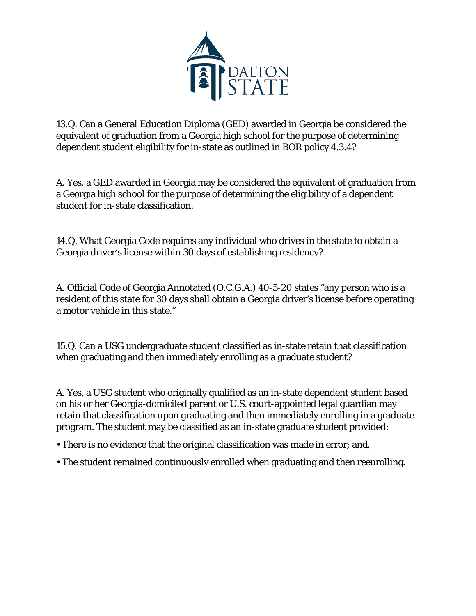

13.Q. Can a General Education Diploma (GED) awarded in Georgia be considered the equivalent of graduation from a Georgia high school for the purpose of determining dependent student eligibility for in-state as outlined in BOR policy 4.3.4?

A. Yes, a GED awarded in Georgia may be considered the equivalent of graduation from a Georgia high school for the purpose of determining the eligibility of a dependent student for in-state classification.

14.Q. What Georgia Code requires any individual who drives in the state to obtain a Georgia driver's license within 30 days of establishing residency?

A. Official Code of Georgia Annotated (O.C.G.A.) 40-5-20 states "any person who is a resident of this state for 30 days shall obtain a Georgia driver's license before operating a motor vehicle in this state."

15.Q. Can a USG undergraduate student classified as in-state retain that classification when graduating and then immediately enrolling as a graduate student?

A. Yes, a USG student who originally qualified as an in-state dependent student based on his or her Georgia-domiciled parent or U.S. court-appointed legal guardian may retain that classification upon graduating and then immediately enrolling in a graduate program. The student may be classified as an in-state graduate student provided:

- There is no evidence that the original classification was made in error; and,
- The student remained continuously enrolled when graduating and then reenrolling.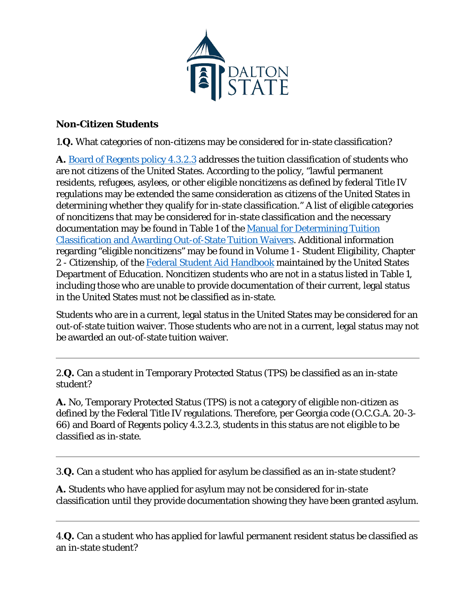

## **Non-Citizen Students**

1.**Q.** What categories of non-citizens may be considered for in-state classification?

**A.** [Board of Regents policy 4.3.2.3](http://www.usg.edu/policymanual/section4/policy/4.3_student_residency/#p4.3.2.3_classification_of_students_for_tuition_purposes) addresses the tuition classification of students who are not citizens of the United States. According to the policy, "lawful permanent residents, refugees, asylees, or other eligible noncitizens as defined by federal Title IV regulations may be extended the same consideration as citizens of the United States in determining whether they qualify for in-state classification." A list of eligible categories of noncitizens that may be considered for in-state classification and the necessary documentation may be found in Table 1 of the [Manual for Determining Tuition](http://www.usg.edu/assets/student_affairs/documents/TuitionClassManual.pdf)  [Classification and Awarding Out-of-State Tuition Waivers.](http://www.usg.edu/assets/student_affairs/documents/TuitionClassManual.pdf) Additional information regarding "eligible noncitizens" may be found in Volume 1 - Student Eligibility, Chapter 2 - Citizenship, of the [Federal Student Aid Handbook](http://ifap.ed.gov/ifap/byAwardYear.jsp?type=fsahandbook&awardyear=2009-2010) maintained by the United States Department of Education. Noncitizen students who are not in a status listed in Table 1, including those who are unable to provide documentation of their current, legal status in the United States must not be classified as in-state.

Students who are in a current, legal status in the United States may be considered for an out-of-state tuition waiver. Those students who are not in a current, legal status may not be awarded an out-of-state tuition waiver.

2.**Q.** Can a student in Temporary Protected Status (TPS) be classified as an in-state student?

**A.** No, Temporary Protected Status (TPS) is not a category of eligible non-citizen as defined by the Federal Title IV regulations. Therefore, per Georgia code (O.C.G.A. 20-3- 66) and Board of Regents policy 4.3.2.3, students in this status are not eligible to be classified as in-state.

3.**Q.** Can a student who has applied for asylum be classified as an in-state student?

**A.** Students who have applied for asylum may not be considered for in-state classification until they provide documentation showing they have been granted asylum.

4.**Q.** Can a student who has applied for lawful permanent resident status be classified as an in-state student?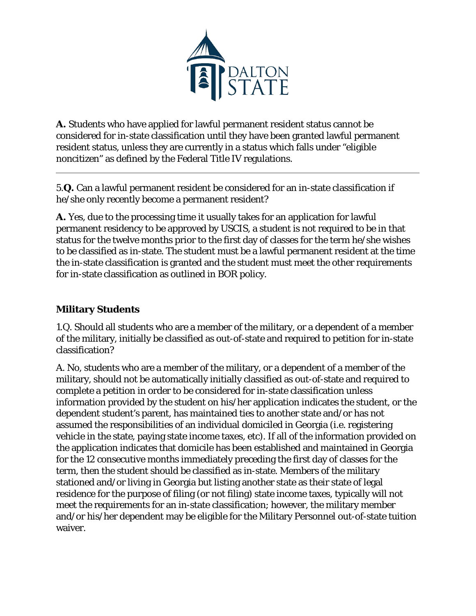

**A.** Students who have applied for lawful permanent resident status cannot be considered for in-state classification until they have been granted lawful permanent resident status, unless they are currently in a status which falls under "eligible noncitizen" as defined by the Federal Title IV regulations.

5.**Q.** Can a lawful permanent resident be considered for an in-state classification if he/she only recently become a permanent resident?

**A.** Yes, due to the processing time it usually takes for an application for lawful permanent residency to be approved by USCIS, a student is not required to be in that status for the twelve months prior to the first day of classes for the term he/she wishes to be classified as in-state. The student must be a lawful permanent resident at the time the in-state classification is granted and the student must meet the other requirements for in-state classification as outlined in BOR policy.

## **Military Students**

1.Q. Should all students who are a member of the military, or a dependent of a member of the military, initially be classified as out-of-state and required to petition for in-state classification?

A. No, students who are a member of the military, or a dependent of a member of the military, should not be automatically initially classified as out-of-state and required to complete a petition in order to be considered for in-state classification unless information provided by the student on his/her application indicates the student, or the dependent student's parent, has maintained ties to another state and/or has not assumed the responsibilities of an individual domiciled in Georgia (i.e. registering vehicle in the state, paying state income taxes, etc). If all of the information provided on the application indicates that domicile has been established and maintained in Georgia for the 12 consecutive months immediately preceding the first day of classes for the term, then the student should be classified as in-state. Members of the military stationed and/or living in Georgia but listing another state as their state of legal residence for the purpose of filing (or not filing) state income taxes, typically will not meet the requirements for an in-state classification; however, the military member and/or his/her dependent may be eligible for the Military Personnel out-of-state tuition waiver.